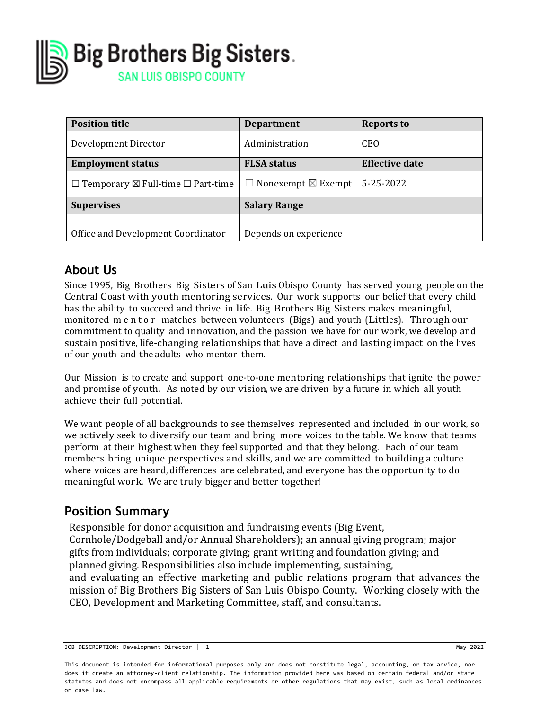

| <b>Position title</b>                                   | <b>Department</b>                   | <b>Reports to</b>     |  |  |
|---------------------------------------------------------|-------------------------------------|-----------------------|--|--|
| Development Director                                    | Administration                      | <b>CEO</b>            |  |  |
| <b>Employment status</b>                                | <b>FLSA</b> status                  | <b>Effective date</b> |  |  |
| $\Box$ Temporary $\boxtimes$ Full-time $\Box$ Part-time | $\Box$ Nonexempt $\boxtimes$ Exempt | 5-25-2022             |  |  |
| <b>Supervises</b>                                       | <b>Salary Range</b>                 |                       |  |  |
|                                                         |                                     |                       |  |  |
| Office and Development Coordinator                      | Depends on experience               |                       |  |  |

## **About Us**

Since 1995, Big Brothers Big Sisters of San Luis Obispo County has served young people on the Central Coast with youth mentoring services. Our work supports our belief that every child has the ability to succeed and thrive in life. Big Brothers Big Sisters makes meaningful, monitored mentor matches between volunteers (Bigs) and youth (Littles). Through our commitment to quality and innovation, and the passion we have for our work, we develop and sustain positive, life-changing relationships that have a direct and lasting impact on the lives of our youth and the adults who mentor them.

Our Mission is to create and support one-to-one mentoring relationships that ignite the power and promise of youth. As noted by our vision, we are driven by a future in which all youth achieve their full potential.

We want people of all backgrounds to see themselves represented and included in our work, so we actively seek to diversify our team and bring more voices to the table. We know that teams perform at their highest when they feel supported and that they belong. Each of our team members bring unique perspectives and skills, and we are committed to building a culture where voices are heard, differences are celebrated, and everyone has the opportunity to do meaningful work. We are truly bigger and better together!

#### **Position Summary**

Responsible for donor acquisition and fundraising events (Big Event, Cornhole/Dodgeball and/or Annual Shareholders); an annual giving program; major gifts from individuals; corporate giving; grant writing and foundation giving; and planned giving. Responsibilities also include implementing, sustaining, and evaluating an effective marketing and public relations program that advances the mission of Big Brothers Big Sisters of San Luis Obispo County. Working closely with the CEO, Development and Marketing Committee, staff, and consultants.

JOB DESCRIPTION: Development Director | 1 May 2022

This document is intended for informational purposes only and does not constitute legal, accounting, or tax advice, nor does it create an attorney-client relationship. The information provided here was based on certain federal and/or state statutes and does not encompass all applicable requirements or other regulations that may exist, such as local ordinances or case law.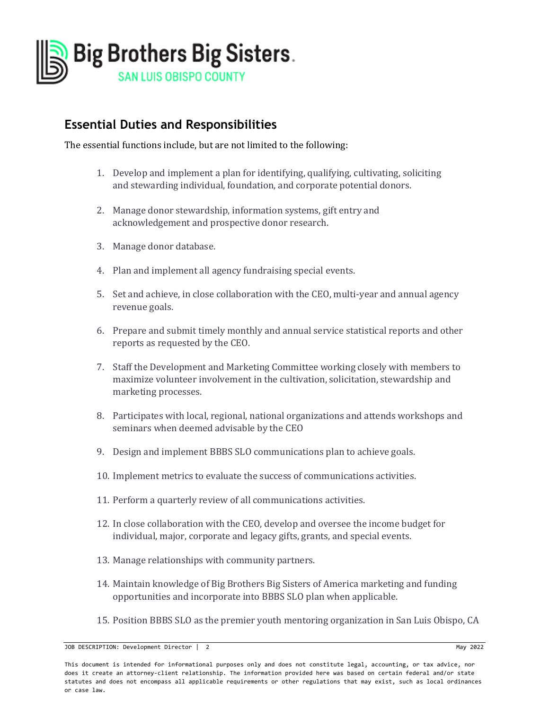

### **Essential Duties and Responsibilities**

The essential functions include, but are not limited to the following:

- 1. Develop and implement a plan for identifying, qualifying, cultivating, soliciting and stewarding individual, foundation, and corporate potential donors.
- 2. Manage donor stewardship, information systems, gift entry and acknowledgement and prospective donor research.
- 3. Manage donor database.
- 4. Plan and implement all agency fundraising special events.
- 5. Set and achieve, in close collaboration with the CEO, multi-year and annual agency revenue goals.
- 6. Prepare and submit timely monthly and annual service statistical reports and other reports as requested by the CEO.
- 7. Staff the Development and Marketing Committee working closely with members to maximize volunteer involvement in the cultivation, solicitation, stewardship and marketing processes.
- 8. Participates with local, regional, national organizations and attends workshops and seminars when deemed advisable by the CEO
- 9. Design and implement BBBS SLO communications plan to achieve goals.
- 10. Implement metrics to evaluate the success of communications activities.
- 11. Perform a quarterly review of all communications activities.
- 12. In close collaboration with the CEO, develop and oversee the income budget for individual, major, corporate and legacy gifts, grants, and special events.
- 13. Manage relationships with community partners.
- 14. Maintain knowledge of Big Brothers Big Sisters of America marketing and funding opportunities and incorporate into BBBS SLO plan when applicable.
- 15. Position BBBS SLO as the premier youth mentoring organization in San Luis Obispo, CA

JOB DESCRIPTION: Development Director | 2 May 2022

This document is intended for informational purposes only and does not constitute legal, accounting, or tax advice, nor does it create an attorney-client relationship. The information provided here was based on certain federal and/or state statutes and does not encompass all applicable requirements or other regulations that may exist, such as local ordinances or case law.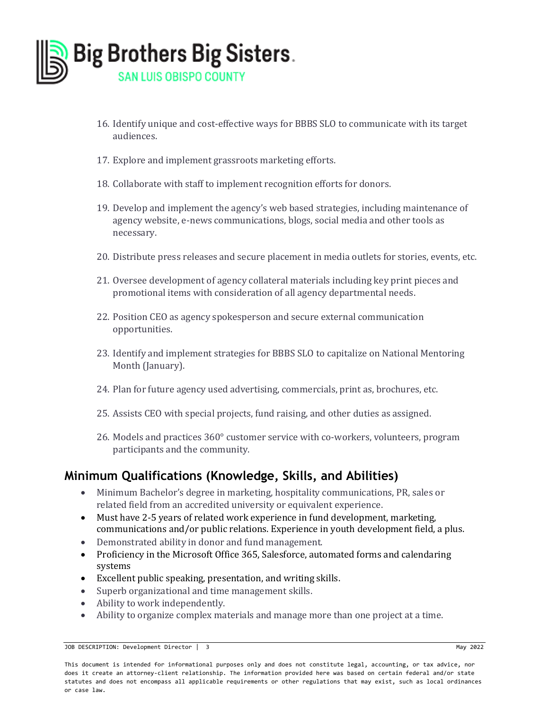

- 16. Identify unique and cost-effective ways for BBBS SLO to communicate with its target audiences.
- 17. Explore and implement grassroots marketing efforts.
- 18. Collaborate with staff to implement recognition efforts for donors.
- 19. Develop and implement the agency's web based strategies, including maintenance of agency website, e-news communications, blogs, social media and other tools as necessary.
- 20. Distribute press releases and secure placement in media outlets for stories, events, etc.
- 21. Oversee development of agency collateral materials including key print pieces and promotional items with consideration of all agency departmental needs.
- 22. Position CEO as agency spokesperson and secure external communication opportunities.
- 23. Identify and implement strategies for BBBS SLO to capitalize on National Mentoring Month (January).
- 24. Plan for future agency used advertising, commercials, print as, brochures, etc.
- 25. Assists CEO with special projects, fund raising, and other duties as assigned.
- 26. Models and practices 360° customer service with co-workers, volunteers, program participants and the community.

#### **Minimum Qualifications (Knowledge, Skills, and Abilities)**

- Minimum Bachelor's degree in marketing, hospitality communications, PR, sales or related field from an accredited university or equivalent experience.
- Must have 2-5 years of related work experience in fund development, marketing, communications and/or public relations. Experience in youth development field, a plus.
- Demonstrated ability in donor and fund management.
- Proficiency in the Microsoft Office 365, Salesforce, automated forms and calendaring systems
- Excellent public speaking, presentation, and writing skills.
- Superb organizational and time management skills.
- Ability to work independently.
- Ability to organize complex materials and manage more than one project at a time.

JOB DESCRIPTION: Development Director | 3 May 2022

This document is intended for informational purposes only and does not constitute legal, accounting, or tax advice, nor does it create an attorney-client relationship. The information provided here was based on certain federal and/or state statutes and does not encompass all applicable requirements or other regulations that may exist, such as local ordinances or case law.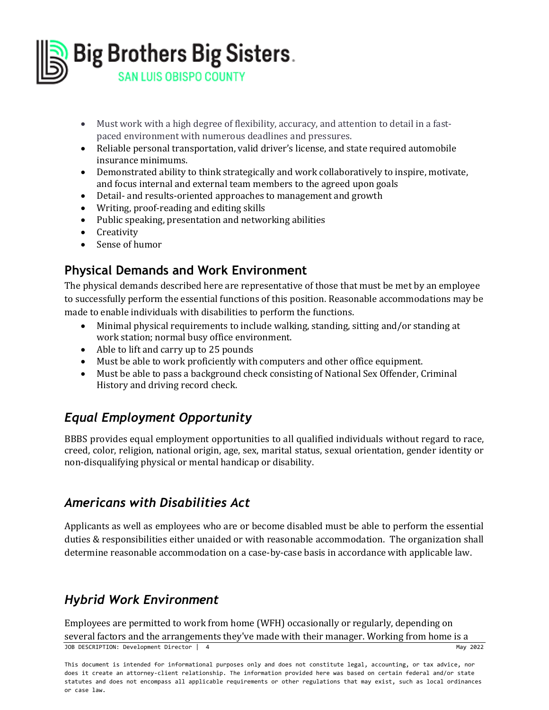

- Must work with a high degree of flexibility, accuracy, and attention to detail in a fastpaced environment with numerous deadlines and pressures.
- Reliable personal transportation, valid driver's license, and state required automobile insurance minimums.
- Demonstrated ability to think strategically and work collaboratively to inspire, motivate, and focus internal and external team members to the agreed upon goals
- Detail- and results-oriented approaches to management and growth
- Writing, proof-reading and editing skills
- Public speaking, presentation and networking abilities
- Creativity
- Sense of humor

#### **Physical Demands and Work Environment**

The physical demands described here are representative of those that must be met by an employee to successfully perform the essential functions of this position. Reasonable accommodations may be made to enable individuals with disabilities to perform the functions.

- Minimal physical requirements to include walking, standing, sitting and/or standing at work station; normal busy office environment.
- Able to lift and carry up to 25 pounds
- Must be able to work proficiently with computers and other office equipment.
- Must be able to pass a background check consisting of National Sex Offender, Criminal History and driving record check.

# *Equal Employment Opportunity*

BBBS provides equal employment opportunities to all qualified individuals without regard to race, creed, color, religion, national origin, age, sex, marital status, sexual orientation, gender identity or non-disqualifying physical or mental handicap or disability.

#### *Americans with Disabilities Act*

Applicants as well as employees who are or become disabled must be able to perform the essential duties & responsibilities either unaided or with reasonable accommodation. The organization shall determine reasonable accommodation on a case-by-case basis in accordance with applicable law.

# *Hybrid Work Environment*

JOB DESCRIPTION: Development Director | 4 May 2022 Employees are permitted to work from home (WFH) occasionally or regularly, depending on several factors and the arrangements they've made with their manager. Working from home is a

This document is intended for informational purposes only and does not constitute legal, accounting, or tax advice, nor does it create an attorney-client relationship. The information provided here was based on certain federal and/or state statutes and does not encompass all applicable requirements or other regulations that may exist, such as local ordinances or case law.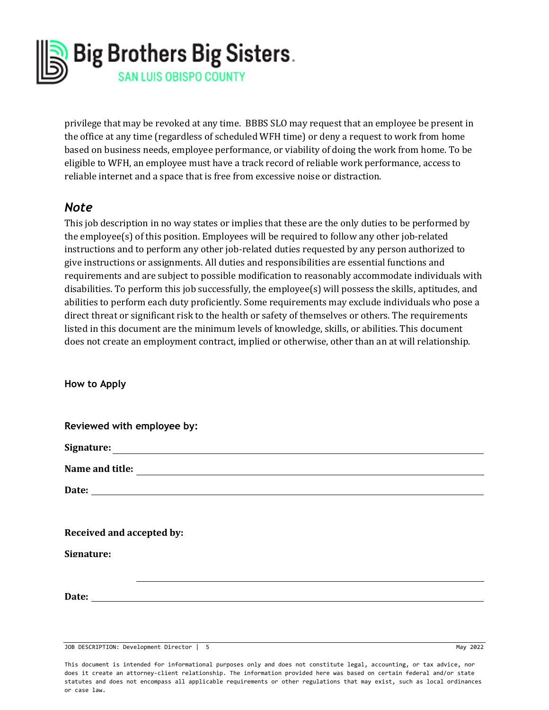

privilege that may be revoked at any time. BBBS SLO may request that an employee be present in the office at any time (regardless of scheduled WFH time) or deny a request to work from home based on business needs, employee performance, or viability of doing the work from home. To be eligible to WFH, an employee must have a track record of reliable work performance, access to reliable internet and a space that is free from excessive noise or distraction.

#### *Note*

This job description in no way states or implies that these are the only duties to be performed by the employee(s) of this position. Employees will be required to follow any other job-related instructions and to perform any other job-related duties requested by any person authorized to give instructions or assignments. All duties and responsibilities are essential functions and requirements and are subject to possible modification to reasonably accommodate individuals with disabilities. To perform this job successfully, the employee(s) will possess the skills, aptitudes, and abilities to perform each duty proficiently. Some requirements may exclude individuals who pose a direct threat or significant risk to the health or safety of themselves or others. The requirements listed in this document are the minimum levels of knowledge, skills, or abilities. This document does not create an employment contract, implied or otherwise, other than an at will relationship.

**How to Apply**

| Reviewed with employee by: |  |  |  |
|----------------------------|--|--|--|
|                            |  |  |  |
| Name and title:            |  |  |  |
|                            |  |  |  |
|                            |  |  |  |
| Received and accepted by:  |  |  |  |
| Signature:                 |  |  |  |
|                            |  |  |  |
|                            |  |  |  |
|                            |  |  |  |

JOB DESCRIPTION: Development Director | 5 May 2022

This document is intended for informational purposes only and does not constitute legal, accounting, or tax advice, nor does it create an attorney-client relationship. The information provided here was based on certain federal and/or state statutes and does not encompass all applicable requirements or other regulations that may exist, such as local ordinances or case law.